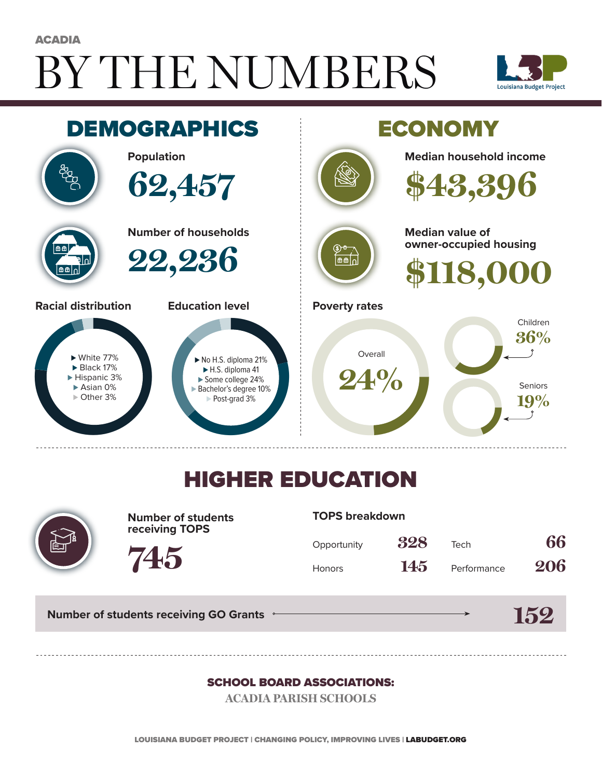# BY THE NUMBERS **ACADIA**





## HIGHER EDUCATION



**Number of students receiving TOPS**

#### **TOPS breakdown**

| Opportunity   | 328 | Tech        | 66  |
|---------------|-----|-------------|-----|
| <b>Honors</b> | 145 | Performance | 206 |

**Number of students receiving GO Grants**

**745**

#### **152**

#### SCHOOL BOARD ASSOCIATIONS:

**ACADIA PARISH SCHOOLS**